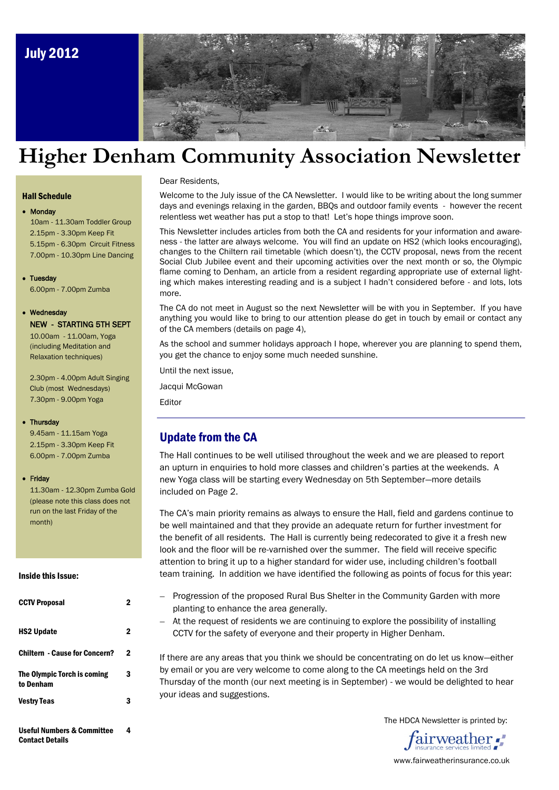

# **Higher Denham Community Association Newsletter**

#### Hall Schedule

#### • Monday

10am - 11.30am Toddler Group 2.15pm - 3.30pm Keep Fit 5.15pm - 6.30pm Circuit Fitness 7.00pm - 10.30pm Line Dancing

#### • Tuesday

6.00pm - 7.00pm Zumba

#### Wednesday

### NEW - STARTING 5TH SEPT

10.00am - 11.00am, Yoga (including Meditation and Relaxation techniques)

2.30pm - 4.00pm Adult Singing Club (most Wednesdays) 7.30pm - 9.00pm Yoga

#### • Thursdav

 9.45am - 11.15am Yoga 2.15pm - 3.30pm Keep Fit 6.00pm - 7.00pm Zumba

#### • Friday

 11.30am - 12.30pm Zumba Gold (please note this class does not run on the last Friday of the month)

#### Inside this Issue:

| <b>CCTV Proposal</b>                          | 2 |
|-----------------------------------------------|---|
| <b>HS2 Update</b>                             | 2 |
| <b>Chiltern - Cause for Concern?</b>          | 2 |
| The Olympic Torch is coming<br>to Denham      | 3 |
| Vestry Teas                                   | 3 |
| Useful Numbers & Committee<br>Contact Details | 4 |

#### Dear Residents,

Welcome to the July issue of the CA Newsletter. I would like to be writing about the long summer days and evenings relaxing in the garden, BBQs and outdoor family events - however the recent relentless wet weather has put a stop to that! Let's hope things improve soon.

This Newsletter includes articles from both the CA and residents for your information and awareness - the latter are always welcome. You will find an update on HS2 (which looks encouraging), changes to the Chiltern rail timetable (which doesn't), the CCTV proposal, news from the recent Social Club Jubilee event and their upcoming activities over the next month or so, the Olympic flame coming to Denham, an article from a resident regarding appropriate use of external lighting which makes interesting reading and is a subject I hadn't considered before - and lots, lots more.

The CA do not meet in August so the next Newsletter will be with you in September. If you have anything you would like to bring to our attention please do get in touch by email or contact any of the CA members (details on page 4),

As the school and summer holidays approach I hope, wherever you are planning to spend them, you get the chance to enjoy some much needed sunshine.

Until the next issue,

Jacqui McGowan

Editor

#### Update from the CA

The Hall continues to be well utilised throughout the week and we are pleased to report an upturn in enquiries to hold more classes and children's parties at the weekends. A new Yoga class will be starting every Wednesday on 5th September—more details included on Page 2.

The CA's main priority remains as always to ensure the Hall, field and gardens continue to be well maintained and that they provide an adequate return for further investment for the benefit of all residents. The Hall is currently being redecorated to give it a fresh new look and the floor will be re-varnished over the summer. The field will receive specific attention to bring it up to a higher standard for wider use, including children's football team training. In addition we have identified the following as points of focus for this year:

- Progression of the proposed Rural Bus Shelter in the Community Garden with more planting to enhance the area generally.
- At the request of residents we are continuing to explore the possibility of installing CCTV for the safety of everyone and their property in Higher Denham.

If there are any areas that you think we should be concentrating on do let us know—either by email or you are very welcome to come along to the CA meetings held on the 3rd Thursday of the month (our next meeting is in September) - we would be delighted to hear your ideas and suggestions.

The HDCA Newsletter is printed by:



www.fairweatherinsurance.co.uk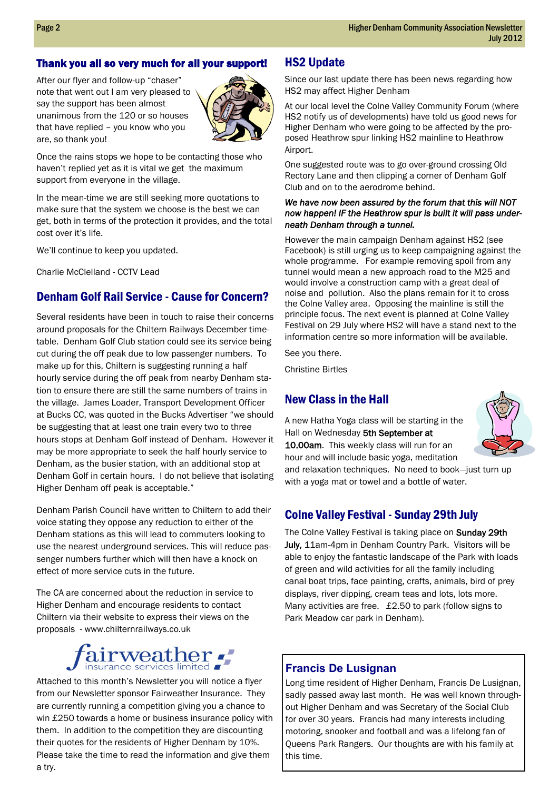#### Thank you all so very much for all your support!

After our flyer and follow-up "chaser" note that went out I am very pleased to say the support has been almost unanimous from the 120 or so houses that have replied – you know who you are, so thank you!



Once the rains stops we hope to be contacting those who haven't replied yet as it is vital we get the maximum support from everyone in the village.

In the mean-time we are still seeking more quotations to make sure that the system we choose is the best we can get, both in terms of the protection it provides, and the total cost over it's life.

We'll continue to keep you updated.

Charlie McClelland - CCTV Lead

### Denham Golf Rail Service - Cause for Concern?

Several residents have been in touch to raise their concerns around proposals for the Chiltern Railways December timetable. Denham Golf Club station could see its service being cut during the off peak due to low passenger numbers. To make up for this, Chiltern is suggesting running a half hourly service during the off peak from nearby Denham station to ensure there are still the same numbers of trains in the village. James Loader, Transport Development Officer at Bucks CC, was quoted in the Bucks Advertiser "we should be suggesting that at least one train every two to three hours stops at Denham Golf instead of Denham. However it may be more appropriate to seek the half hourly service to Denham, as the busier station, with an additional stop at Denham Golf in certain hours. I do not believe that isolating Higher Denham off peak is acceptable."

Denham Parish Council have written to Chiltern to add their voice stating they oppose any reduction to either of the Denham stations as this will lead to commuters looking to use the nearest underground services. This will reduce passenger numbers further which will then have a knock on effect of more service cuts in the future.

The CA are concerned about the reduction in service to Higher Denham and encourage residents to contact Chiltern via their website to express their views on the proposals - www.chilternrailways.co.uk

### airweather. insurance services limited

 Please take the time to read the information and give them Attached to this month's Newsletter you will notice a flyer from our Newsletter sponsor Fairweather Insurance. They are currently running a competition giving you a chance to win £250 towards a home or business insurance policy with them. In addition to the competition they are discounting their quotes for the residents of Higher Denham by 10%. a try.

### HS2 Update

Since our last update there has been news regarding how HS2 may affect Higher Denham

At our local level the Colne Valley Community Forum (where HS2 notify us of developments) have told us good news for Higher Denham who were going to be affected by the proposed Heathrow spur linking HS2 mainline to Heathrow Airport.

One suggested route was to go over-ground crossing Old Rectory Lane and then clipping a corner of Denham Golf Club and on to the aerodrome behind.

#### *We have now been assured by the forum that this will NOT now happen! IF the Heathrow spur is built it will pass underneath Denham through a tunnel.*

However the main campaign Denham against HS2 (see Facebook) is still urging us to keep campaigning against the whole programme. For example removing spoil from any tunnel would mean a new approach road to the M25 and would involve a construction camp with a great deal of noise and pollution. Also the plans remain for it to cross the Colne Valley area. Opposing the mainline is still the principle focus. The next event is planned at Colne Valley Festival on 29 July where HS2 will have a stand next to the information centre so more information will be available.

See you there.

Christine Birtles

### New Class in the Hall

A new Hatha Yoga class will be starting in the Hall on Wednesday 5th September at 10.00am. This weekly class will run for an hour and will include basic yoga, meditation and relaxation techniques. No need to book—just turn up with a yoga mat or towel and a bottle of water.



### Colne Valley Festival - Sunday 29th July

The Colne Valley Festival is taking place on Sunday 29th July, 11am-4pm in Denham Country Park. Visitors will be able to enjoy the fantastic landscape of the Park with loads of green and wild activities for all the family including canal boat trips, face painting, crafts, animals, bird of prey displays, river dipping, cream teas and lots, lots more. Many activities are free. £2.50 to park (follow signs to Park Meadow car park in Denham).

#### **Francis De Lusignan**

Long time resident of Higher Denham, Francis De Lusignan, sadly passed away last month. He was well known throughout Higher Denham and was Secretary of the Social Club for over 30 years. Francis had many interests including motoring, snooker and football and was a lifelong fan of Queens Park Rangers. Our thoughts are with his family at this time.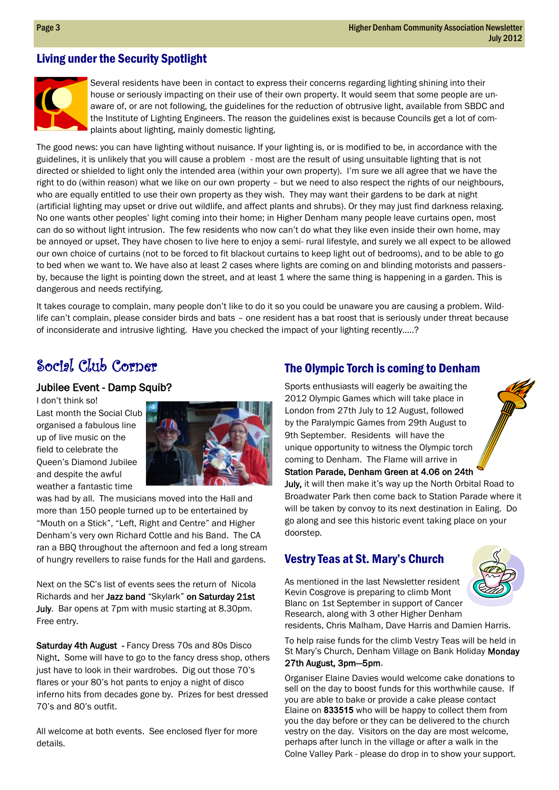### Living under the Security Spotlight



Several residents have been in contact to express their concerns regarding lighting shining into their house or seriously impacting on their use of their own property. It would seem that some people are unaware of, or are not following, the guidelines for the reduction of obtrusive light, available from SBDC and the Institute of Lighting Engineers. The reason the guidelines exist is because Councils get a lot of complaints about lighting, mainly domestic lighting.

The good news: you can have lighting without nuisance. If your lighting is, or is modified to be, in accordance with the guidelines, it is unlikely that you will cause a problem - most are the result of using unsuitable lighting that is not directed or shielded to light only the intended area (within your own property). I'm sure we all agree that we have the right to do (within reason) what we like on our own property – but we need to also respect the rights of our neighbours, who are equally entitled to use their own property as they wish. They may want their gardens to be dark at night (artificial lighting may upset or drive out wildlife, and affect plants and shrubs). Or they may just find darkness relaxing. No one wants other peoples' light coming into their home; in Higher Denham many people leave curtains open, most can do so without light intrusion. The few residents who now can't do what they like even inside their own home, may be annoyed or upset. They have chosen to live here to enjoy a semi- rural lifestyle, and surely we all expect to be allowed our own choice of curtains (not to be forced to fit blackout curtains to keep light out of bedrooms), and to be able to go to bed when we want to. We have also at least 2 cases where lights are coming on and blinding motorists and passersby, because the light is pointing down the street, and at least 1 where the same thing is happening in a garden. This is dangerous and needs rectifying.

It takes courage to complain, many people don't like to do it so you could be unaware you are causing a problem. Wildlife can't complain, please consider birds and bats – one resident has a bat roost that is seriously under threat because of inconsiderate and intrusive lighting. Have you checked the impact of your lighting recently.....?

## Social Club Corner

#### Jubilee Event - Damp Squib?

I don't think so!

Last month the Social Club organised a fabulous line up of live music on the field to celebrate the Queen's Diamond Jubilee and despite the awful weather a fantastic time



was had by all. The musicians moved into the Hall and more than 150 people turned up to be entertained by "Mouth on a Stick", "Left, Right and Centre" and Higher Denham's very own Richard Cottle and his Band. The CA ran a BBQ throughout the afternoon and fed a long stream of hungry revellers to raise funds for the Hall and gardens.

Next on the SC's list of events sees the return of Nicola Richards and her Jazz band "Skylark" on Saturday 21st July. Bar opens at 7pm with music starting at 8.30pm. Free entry.

Saturday 4th August - Fancy Dress 70s and 80s Disco Night. Some will have to go to the fancy dress shop, others just have to look in their wardrobes. Dig out those 70's flares or your 80's hot pants to enjoy a night of disco inferno hits from decades gone by. Prizes for best dressed 70's and 80's outfit.

All welcome at both events. See enclosed flyer for more details.

### The Olympic Torch is coming to Denham

Sports enthusiasts will eagerly be awaiting the 2012 Olympic Games which will take place in London from 27th July to 12 August, followed by the Paralympic Games from 29th August to 9th September. Residents will have the unique opportunity to witness the Olympic torch coming to Denham. The Flame will arrive in Station Parade, Denham Green at 4.06 on 24th

July, it will then make it's way up the North Orbital Road to Broadwater Park then come back to Station Parade where it will be taken by convoy to its next destination in Ealing. Do go along and see this historic event taking place on your doorstep.

### Vestry Teas at St. Mary's Church



As mentioned in the last Newsletter resident Kevin Cosgrove is preparing to climb Mont Blanc on 1st September in support of Cancer Research, along with 3 other Higher Denham residents, Chris Malham, Dave Harris and Damien Harris.

To help raise funds for the climb Vestry Teas will be held in St Mary's Church, Denham Village on Bank Holiday Monday 27th August, 3pm—5pm.

Organiser Elaine Davies would welcome cake donations to sell on the day to boost funds for this worthwhile cause. If you are able to bake or provide a cake please contact Elaine on **833515** who will be happy to collect them from you the day before or they can be delivered to the church vestry on the day. Visitors on the day are most welcome, perhaps after lunch in the village or after a walk in the Colne Valley Park - please do drop in to show your support.